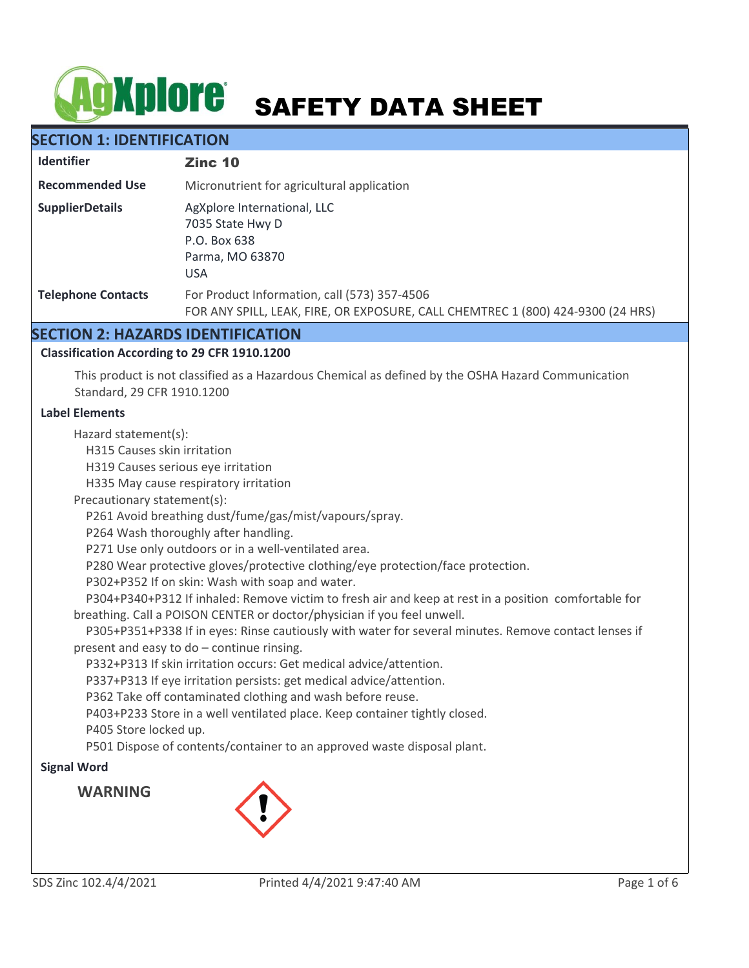# **AgXplore** SAFETY DATA SHEET

# **SECTION 1: IDENTIFICATION**

| <b>Identifier</b>         | Zinc 10                                                                                                                         |
|---------------------------|---------------------------------------------------------------------------------------------------------------------------------|
| <b>Recommended Use</b>    | Micronutrient for agricultural application                                                                                      |
| <b>SupplierDetails</b>    | AgXplore International, LLC<br>7035 State Hwy D<br>P.O. Box 638<br>Parma, MO 63870<br><b>USA</b>                                |
| <b>Telephone Contacts</b> | For Product Information, call (573) 357-4506<br>FOR ANY SPILL, LEAK, FIRE, OR EXPOSURE, CALL CHEMTREC 1 (800) 424-9300 (24 HRS) |

# **SECTION 2: HAZARDS IDENTIFICATION**

# **Classification According to 29 CFR 1910.1200**

This product is not classified as a Hazardous Chemical as defined by the OSHA Hazard Communication Standard, 29 CFR 1910.1200

#### **Label Elements**

Hazard statement(s):

H315 Causes skin irritation

H319 Causes serious eye irritation

H335 May cause respiratory irritation

Precautionary statement(s):

P261 Avoid breathing dust/fume/gas/mist/vapours/spray.

P264 Wash thoroughly after handling.

P271 Use only outdoors or in a well-ventilated area.

P280 Wear protective gloves/protective clothing/eye protection/face protection.

P302+P352 If on skin: Wash with soap and water.

 P304+P340+P312 If inhaled: Remove victim to fresh air and keep at rest in a position comfortable for breathing. Call a POISON CENTER or doctor/physician if you feel unwell.

 P305+P351+P338 If in eyes: Rinse cautiously with water for several minutes. Remove contact lenses if present and easy to do – continue rinsing.

P332+P313 If skin irritation occurs: Get medical advice/attention.

P337+P313 If eye irritation persists: get medical advice/attention.

P362 Take off contaminated clothing and wash before reuse.

P403+P233 Store in a well ventilated place. Keep container tightly closed.

P405 Store locked up.

P501 Dispose of contents/container to an approved waste disposal plant.

## **Signal Word**

**WARNING**

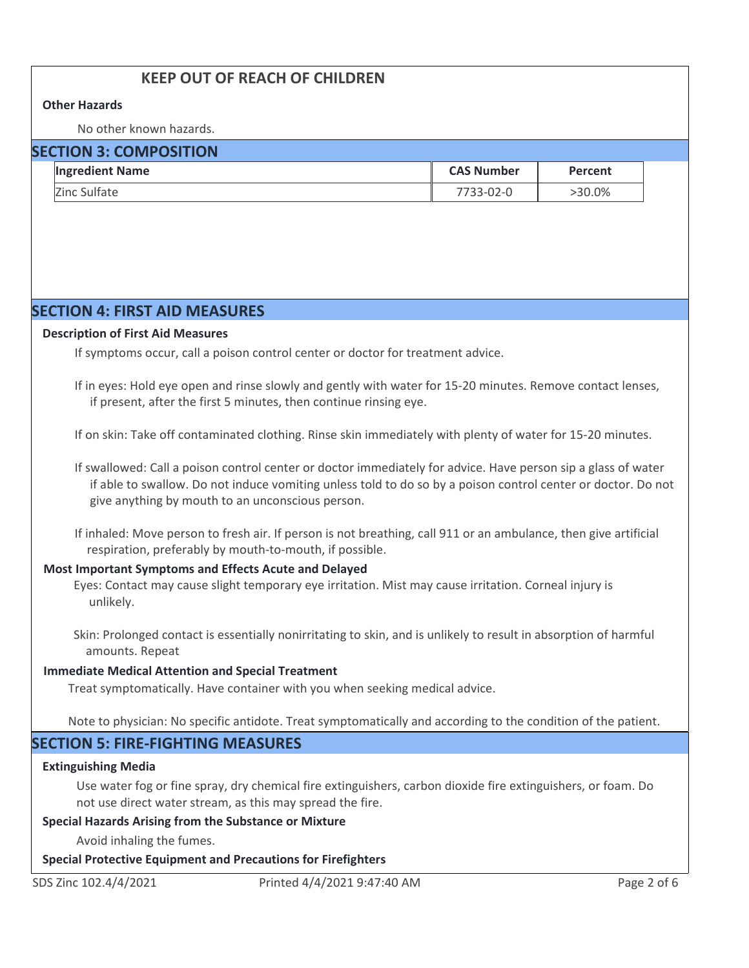# **KEEP OUT OF REACH OF CHILDREN**

#### **Other Hazards**

No other known hazards.

# **SECTION 3: COMPOSITION**

| <b>Ingredient Name</b> | <b>CAS Number</b> | Percent |
|------------------------|-------------------|---------|
| Zinc Sulfate           | 7733-02-0         | >30.0%  |

# **SECTION 4: FIRST AID MEASURES**

#### **Description of First Aid Measures**

If symptoms occur, call a poison control center or doctor for treatment advice.

If in eyes: Hold eye open and rinse slowly and gently with water for 15-20 minutes. Remove contact lenses, if present, after the first 5 minutes, then continue rinsing eye.

If on skin: Take off contaminated clothing. Rinse skin immediately with plenty of water for 15-20 minutes.

If swallowed: Call a poison control center or doctor immediately for advice. Have person sip a glass of water if able to swallow. Do not induce vomiting unless told to do so by a poison control center or doctor. Do not give anything by mouth to an unconscious person.

If inhaled: Move person to fresh air. If person is not breathing, call 911 or an ambulance, then give artificial respiration, preferably by mouth-to-mouth, if possible.

#### **Most Important Symptoms and Effects Acute and Delayed**

Eyes: Contact may cause slight temporary eye irritation. Mist may cause irritation. Corneal injury is unlikely.

Skin: Prolonged contact is essentially nonirritating to skin, and is unlikely to result in absorption of harmful amounts. Repeat

#### **Immediate Medical Attention and Special Treatment**

Treat symptomatically. Have container with you when seeking medical advice.

Note to physician: No specific antidote. Treat symptomatically and according to the condition of the patient.

# **SECTION 5: FIRE-FIGHTING MEASURES**

#### **Extinguishing Media**

Use water fog or fine spray, dry chemical fire extinguishers, carbon dioxide fire extinguishers, or foam. Do not use direct water stream, as this may spread the fire.

#### **Special Hazards Arising from the Substance or Mixture**

Avoid inhaling the fumes.

#### **Special Protective Equipment and Precautions for Firefighters**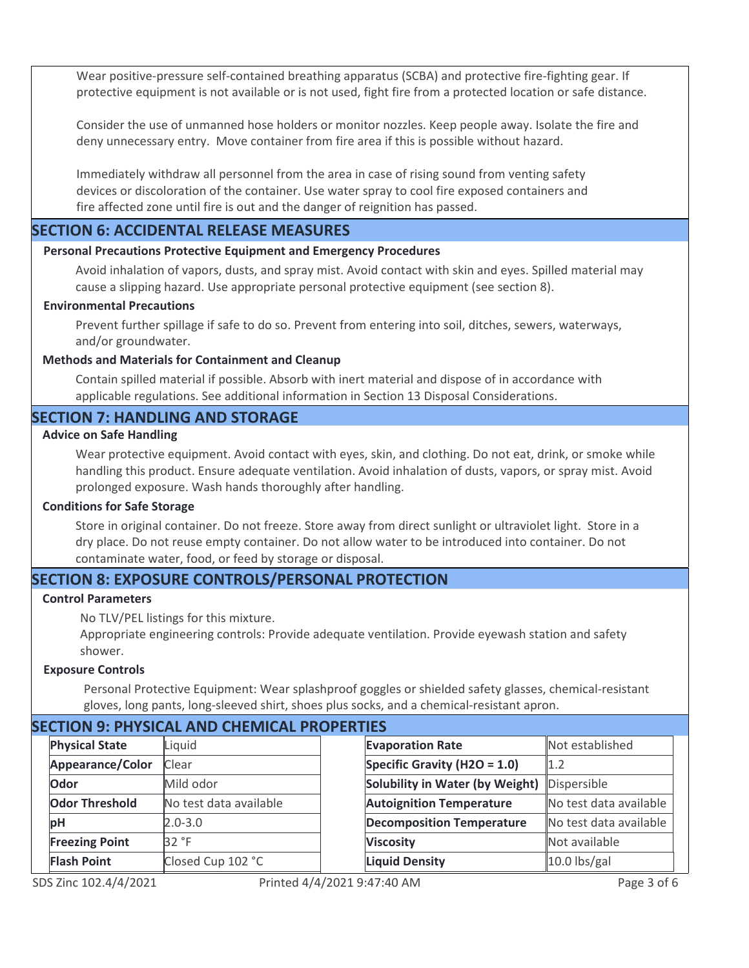Wear positive-pressure self-contained breathing apparatus (SCBA) and protective fire-fighting gear. If protective equipment is not available or is not used, fight fire from a protected location or safe distance.

Consider the use of unmanned hose holders or monitor nozzles. Keep people away. Isolate the fire and deny unnecessary entry. Move container from fire area if this is possible without hazard.

Immediately withdraw all personnel from the area in case of rising sound from venting safety devices or discoloration of the container. Use water spray to cool fire exposed containers and fire affected zone until fire is out and the danger of reignition has passed.

# **SECTION 6: ACCIDENTAL RELEASE MEASURES**

#### **Personal Precautions Protective Equipment and Emergency Procedures**

Avoid inhalation of vapors, dusts, and spray mist. Avoid contact with skin and eyes. Spilled material may cause a slipping hazard. Use appropriate personal protective equipment (see section 8).

#### **Environmental Precautions**

Prevent further spillage if safe to do so. Prevent from entering into soil, ditches, sewers, waterways, and/or groundwater.

#### **Methods and Materials for Containment and Cleanup**

Contain spilled material if possible. Absorb with inert material and dispose of in accordance with applicable regulations. See additional information in Section 13 Disposal Considerations.

# **SECTION 7: HANDLING AND STORAGE**

#### **Advice on Safe Handling**

Wear protective equipment. Avoid contact with eyes, skin, and clothing. Do not eat, drink, or smoke while handling this product. Ensure adequate ventilation. Avoid inhalation of dusts, vapors, or spray mist. Avoid prolonged exposure. Wash hands thoroughly after handling.

#### **Conditions for Safe Storage**

Store in original container. Do not freeze. Store away from direct sunlight or ultraviolet light. Store in a dry place. Do not reuse empty container. Do not allow water to be introduced into container. Do not contaminate water, food, or feed by storage or disposal.

# **SECTION 8: EXPOSURE CONTROLS/PERSONAL PROTECTION**

#### **Control Parameters**

No TLV/PEL listings for this mixture.

Appropriate engineering controls: Provide adequate ventilation. Provide eyewash station and safety shower.

#### **Exposure Controls**

Personal Protective Equipment: Wear splashproof goggles or shielded safety glasses, chemical-resistant gloves, long pants, long-sleeved shirt, shoes plus socks, and a chemical-resistant apron.

**Evaporation Rate**

**Viscosity Liquid Density**

**Specific Gravity (H2O = 1.0) Solubility in Water (by Weight) Autoignition Temperature Decomposition Temperature**

# **SECTION 9: PHYSICAL AND CHEMICAL PROPERTIES**

| <b>Physical State</b>   | Liquid                 |
|-------------------------|------------------------|
| <b>Appearance/Color</b> | <b>Clear</b>           |
| Odor                    | Mild odor              |
| <b>Odor Threshold</b>   | No test data available |
| pН                      | $2.0 - 3.0$            |
| <b>Freezing Point</b>   | 32 °F                  |
| <b>Flash Point</b>      | Closed Cup 102 °C      |

Not established

No test data available No test data available

Dispersible

Not available

10.0 lbs/gal

1.2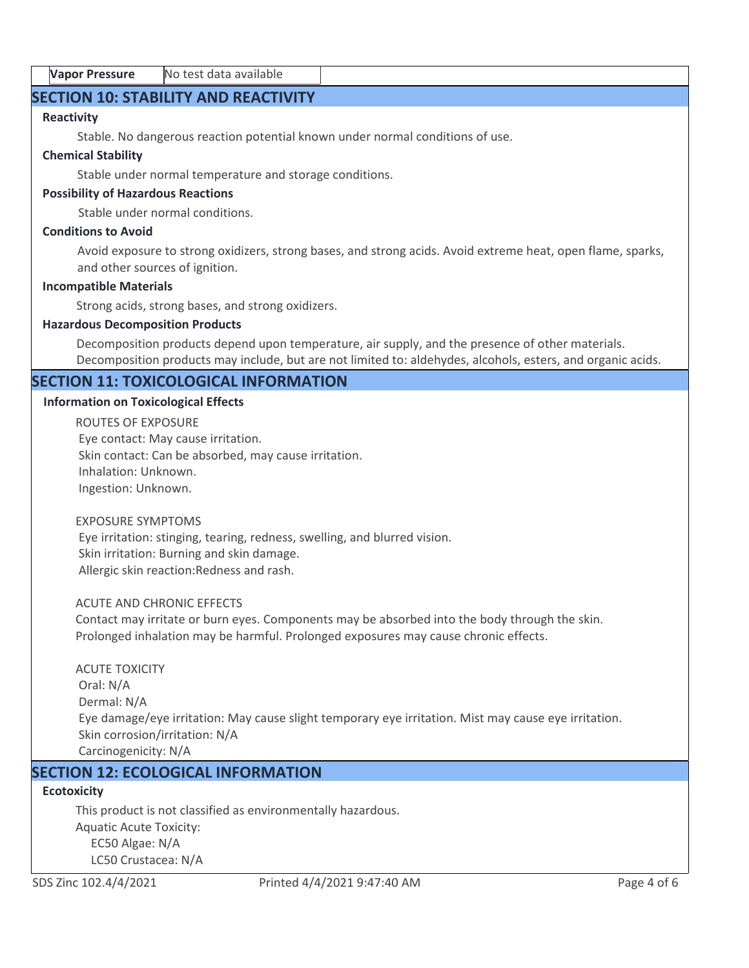| <b>Vapor Pressure</b> | No test data available |  |
|-----------------------|------------------------|--|
|-----------------------|------------------------|--|

# **SECTION 10: STABILITY AND REACTIVITY**

#### **Reactivity**

Stable. No dangerous reaction potential known under normal conditions of use.

#### **Chemical Stability**

Stable under normal temperature and storage conditions.

#### **Possibility of Hazardous Reactions**

Stable under normal conditions.

#### **Conditions to Avoid**

Avoid exposure to strong oxidizers, strong bases, and strong acids. Avoid extreme heat, open flame, sparks, and other sources of ignition.

#### **Incompatible Materials**

Strong acids, strong bases, and strong oxidizers.

#### **Hazardous Decomposition Products**

Decomposition products depend upon temperature, air supply, and the presence of other materials. Decomposition products may include, but are not limited to: aldehydes, alcohols, esters, and organic acids.

# **SECTION 11: TOXICOLOGICAL INFORMATION**

#### **Information on Toxicological Effects**

ROUTES OF EXPOSURE Eye contact: May cause irritation. Skin contact: Can be absorbed, may cause irritation. Inhalation: Unknown. Ingestion: Unknown.

#### EXPOSURE SYMPTOMS

 Eye irritation: stinging, tearing, redness, swelling, and blurred vision. Skin irritation: Burning and skin damage. Allergic skin reaction:Redness and rash.

#### ACUTE AND CHRONIC EFFECTS

Contact may irritate or burn eyes. Components may be absorbed into the body through the skin. Prolonged inhalation may be harmful. Prolonged exposures may cause chronic effects.

# ACUTE TOXICITY Oral: N/A Dermal: N/A Eye damage/eye irritation: May cause slight temporary eye irritation. Mist may cause eye irritation. Skin corrosion/irritation: N/A Carcinogenicity: N/A

# **SECTION 12: ECOLOGICAL INFORMATION**

### **Ecotoxicity**

This product is not classified as environmentally hazardous. Aquatic Acute Toxicity: EC50 Algae: N/A LC50 Crustacea: N/A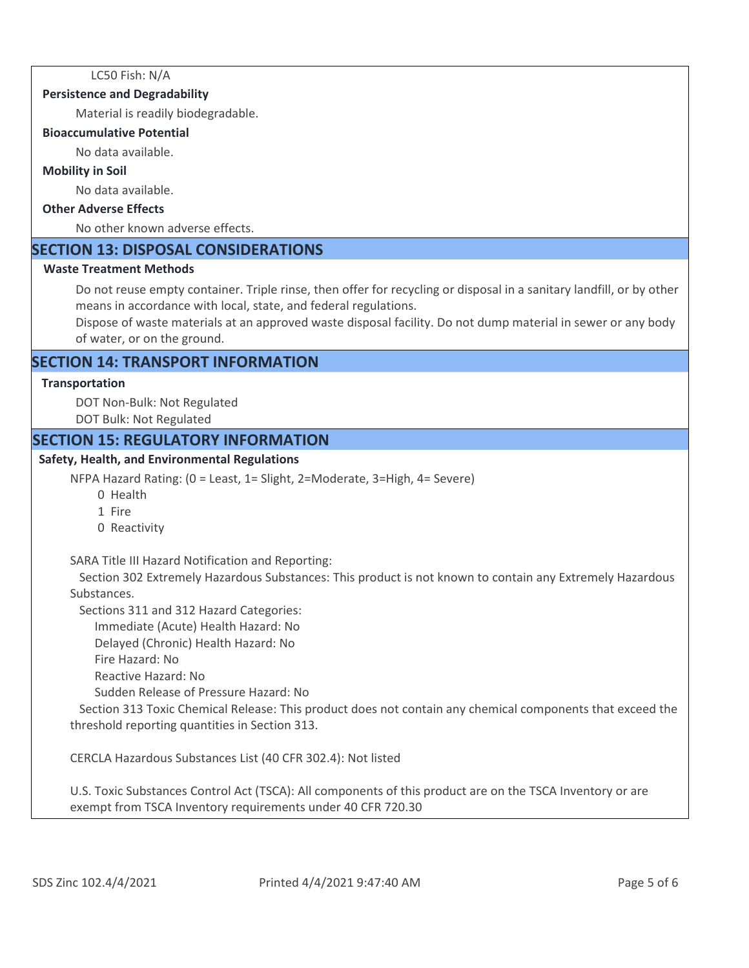LC50 Fish: N/A

#### **Persistence and Degradability**

Material is readily biodegradable.

#### **Bioaccumulative Potential**

No data available.

#### **Mobility in Soil**

No data available.

#### **Other Adverse Effects**

No other known adverse effects.

# **SECTION 13: DISPOSAL CONSIDERATIONS**

#### **Waste Treatment Methods**

Do not reuse empty container. Triple rinse, then offer for recycling or disposal in a sanitary landfill, or by other means in accordance with local, state, and federal regulations.

Dispose of waste materials at an approved waste disposal facility. Do not dump material in sewer or any body of water, or on the ground.

# **SECTION 14: TRANSPORT INFORMATION**

#### **Transportation**

DOT Non-Bulk: Not Regulated DOT Bulk: Not Regulated

# **SECTION 15: REGULATORY INFORMATION**

#### **Safety, Health, and Environmental Regulations**

NFPA Hazard Rating: (0 = Least, 1= Slight, 2=Moderate, 3=High, 4= Severe)

- 0 Health
- 1 Fire
- 0 Reactivity

SARA Title III Hazard Notification and Reporting:

 Section 302 Extremely Hazardous Substances: This product is not known to contain any Extremely Hazardous Substances.

Sections 311 and 312 Hazard Categories:

Immediate (Acute) Health Hazard: No

Delayed (Chronic) Health Hazard: No

Fire Hazard: No

Reactive Hazard: No

Sudden Release of Pressure Hazard: No

 Section 313 Toxic Chemical Release: This product does not contain any chemical components that exceed the threshold reporting quantities in Section 313.

CERCLA Hazardous Substances List (40 CFR 302.4): Not listed

U.S. Toxic Substances Control Act (TSCA): All components of this product are on the TSCA Inventory or are exempt from TSCA Inventory requirements under 40 CFR 720.30